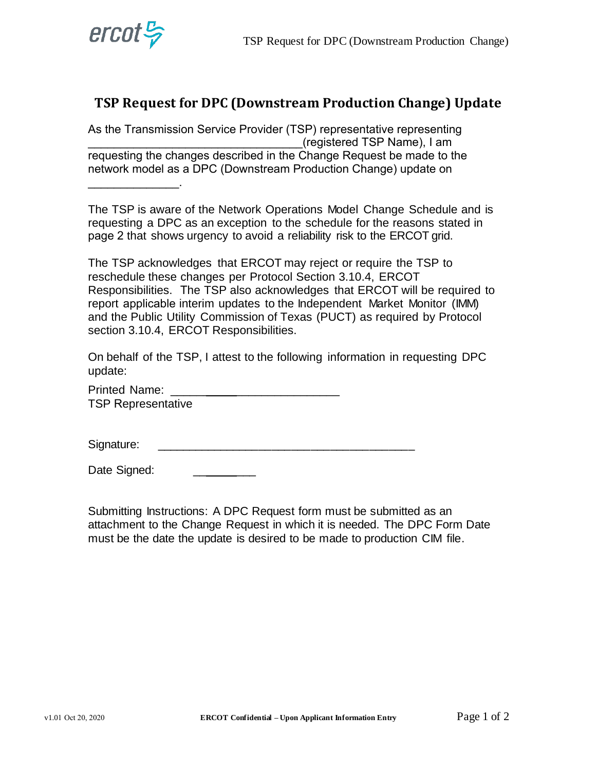

\_\_\_\_\_\_\_\_\_\_\_\_\_\_.

## **TSP Request for DPC (Downstream Production Change) Update**

As the Transmission Service Provider (TSP) representative representing \_\_\_\_\_\_\_\_\_\_\_\_\_\_\_\_\_\_\_\_\_\_\_\_\_\_\_\_\_\_\_\_\_(registered TSP Name), I am requesting the changes described in the Change Request be made to the network model as a DPC (Downstream Production Change) update on

The TSP is aware of the Network Operations Model Change Schedule and is requesting a DPC as an exception to the schedule for the reasons stated in page 2 that shows urgency to avoid a reliability risk to the ERCOT grid.

The TSP acknowledges that ERCOT may reject or require the TSP to reschedule these changes per Protocol Section 3.10.4, ERCOT Responsibilities. The TSP also acknowledges that ERCOT will be required to report applicable interim updates to the Independent Market Monitor (IMM) and the Public Utility Commission of Texas (PUCT) as required by Protocol section 3.10.4, ERCOT Responsibilities.

On behalf of the TSP, I attest to the following information in requesting DPC update:

Printed Name: TSP Representative

Signature: \_\_\_\_\_\_\_\_\_\_\_\_\_\_\_\_\_\_\_\_\_\_\_\_\_\_\_\_\_\_\_\_\_\_\_\_\_\_\_\_

Date Signed: \_\_\_ \_\_\_ \_\_

Submitting Instructions: A DPC Request form must be submitted as an attachment to the Change Request in which it is needed. The DPC Form Date must be the date the update is desired to be made to production CIM file.